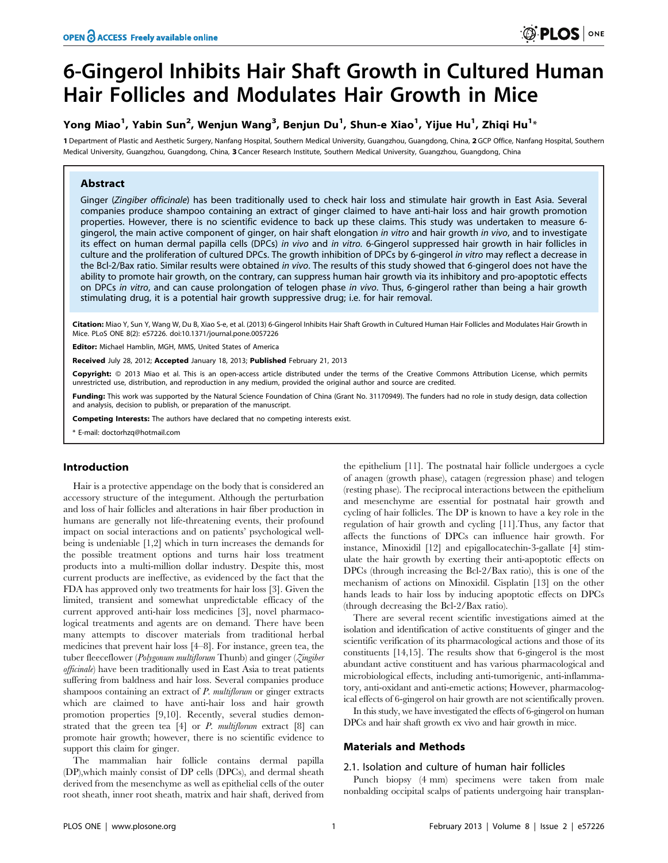# 6-Gingerol Inhibits Hair Shaft Growth in Cultured Human Hair Follicles and Modulates Hair Growth in Mice

## Yong Miao $^1$ , Yabin Sun $^2$ , Wenjun Wang $^3$ , Benjun Du $^1$ , Shun-e Xiao $^1$ , Yijue Hu $^1$ , Zhiqi Hu $^{1_\star}$

1 Department of Plastic and Aesthetic Surgery, Nanfang Hospital, Southern Medical University, Guangzhou, Guangdong, China, 2 GCP Office, Nanfang Hospital, Southern Medical University, Guangzhou, Guangdong, China, 3 Cancer Research Institute, Southern Medical University, Guangzhou, Guangdong, China

## Abstract

Ginger (Zingiber officinale) has been traditionally used to check hair loss and stimulate hair growth in East Asia. Several companies produce shampoo containing an extract of ginger claimed to have anti-hair loss and hair growth promotion properties. However, there is no scientific evidence to back up these claims. This study was undertaken to measure 6 gingerol, the main active component of ginger, on hair shaft elongation in vitro and hair growth in vivo, and to investigate its effect on human dermal papilla cells (DPCs) in vivo and in vitro. 6-Gingerol suppressed hair growth in hair follicles in culture and the proliferation of cultured DPCs. The growth inhibition of DPCs by 6-gingerol in vitro may reflect a decrease in the Bcl-2/Bax ratio. Similar results were obtained in vivo. The results of this study showed that 6-gingerol does not have the ability to promote hair growth, on the contrary, can suppress human hair growth via its inhibitory and pro-apoptotic effects on DPCs in vitro, and can cause prolongation of telogen phase in vivo. Thus, 6-gingerol rather than being a hair growth stimulating drug, it is a potential hair growth suppressive drug; i.e. for hair removal.

Citation: Miao Y, Sun Y, Wang W, Du B, Xiao S-e, et al. (2013) 6-Gingerol Inhibits Hair Shaft Growth in Cultured Human Hair Follicles and Modulates Hair Growth in Mice. PLoS ONE 8(2): e57226. doi:10.1371/journal.pone.0057226

Editor: Michael Hamblin, MGH, MMS, United States of America

Received July 28, 2012; Accepted January 18, 2013; Published February 21, 2013

Copyright: © 2013 Miao et al. This is an open-access article distributed under the terms of the Creative Commons Attribution License, which permits unrestricted use, distribution, and reproduction in any medium, provided the original author and source are credited.

Funding: This work was supported by the Natural Science Foundation of China (Grant No. 31170949). The funders had no role in study design, data collection and analysis, decision to publish, or preparation of the manuscript.

Competing Interests: The authors have declared that no competing interests exist.

\* E-mail: doctorhzq@hotmail.com

## Introduction

Hair is a protective appendage on the body that is considered an accessory structure of the integument. Although the perturbation and loss of hair follicles and alterations in hair fiber production in humans are generally not life-threatening events, their profound impact on social interactions and on patients' psychological wellbeing is undeniable [1,2] which in turn increases the demands for the possible treatment options and turns hair loss treatment products into a multi-million dollar industry. Despite this, most current products are ineffective, as evidenced by the fact that the FDA has approved only two treatments for hair loss [3]. Given the limited, transient and somewhat unpredictable efficacy of the current approved anti-hair loss medicines [3], novel pharmacological treatments and agents are on demand. There have been many attempts to discover materials from traditional herbal medicines that prevent hair loss [4–8]. For instance, green tea, the tuber fleeceflower (Polygonum multiflorum Thunb) and ginger (Zingiber officinale) have been traditionally used in East Asia to treat patients suffering from baldness and hair loss. Several companies produce shampoos containing an extract of P. multiflorum or ginger extracts which are claimed to have anti-hair loss and hair growth promotion properties [9,10]. Recently, several studies demonstrated that the green tea  $[4]$  or  $P$ . multiflorum extract  $[8]$  can promote hair growth; however, there is no scientific evidence to support this claim for ginger.

The mammalian hair follicle contains dermal papilla (DP),which mainly consist of DP cells (DPCs), and dermal sheath derived from the mesenchyme as well as epithelial cells of the outer root sheath, inner root sheath, matrix and hair shaft, derived from the epithelium [11]. The postnatal hair follicle undergoes a cycle of anagen (growth phase), catagen (regression phase) and telogen (resting phase). The reciprocal interactions between the epithelium and mesenchyme are essential for postnatal hair growth and cycling of hair follicles. The DP is known to have a key role in the regulation of hair growth and cycling [11].Thus, any factor that affects the functions of DPCs can influence hair growth. For instance, Minoxidil [12] and epigallocatechin-3-gallate [4] stimulate the hair growth by exerting their anti-apoptotic effects on DPCs (through increasing the Bcl-2/Bax ratio), this is one of the mechanism of actions on Minoxidil. Cisplatin [13] on the other hands leads to hair loss by inducing apoptotic effects on DPCs (through decreasing the Bcl-2/Bax ratio).

There are several recent scientific investigations aimed at the isolation and identification of active constituents of ginger and the scientific verification of its pharmacological actions and those of its constituents [14,15]. The results show that 6-gingerol is the most abundant active constituent and has various pharmacological and microbiological effects, including anti-tumorigenic, anti-inflammatory, anti-oxidant and anti-emetic actions; However, pharmacological effects of 6-gingerol on hair growth are not scientifically proven.

In this study, we have investigated the effects of 6-gingerol on human DPCs and hair shaft growth ex vivo and hair growth in mice.

## Materials and Methods

## 2.1. Isolation and culture of human hair follicles

Punch biopsy (4 mm) specimens were taken from male nonbalding occipital scalps of patients undergoing hair transplan-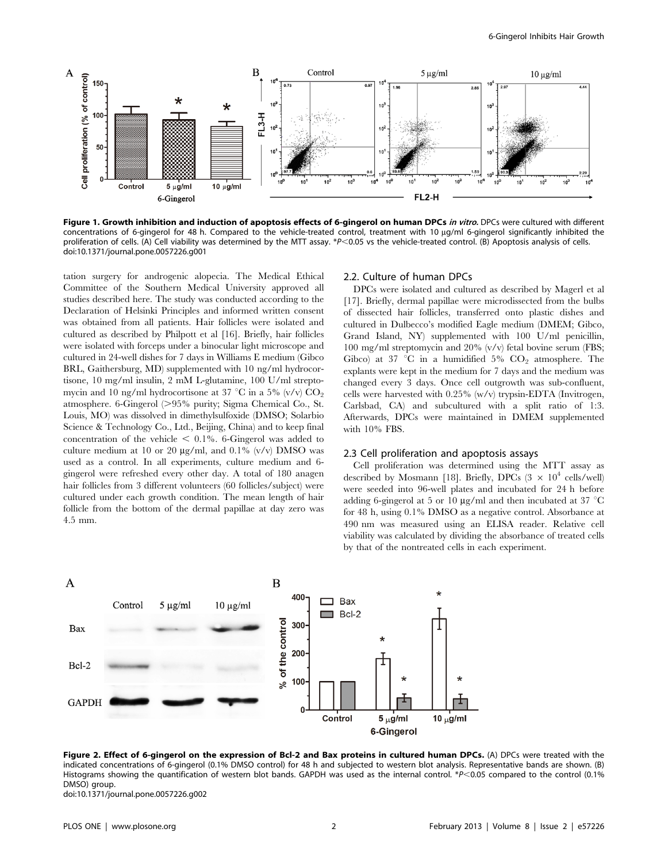

Figure 1. Growth inhibition and induction of apoptosis effects of 6-gingerol on human DPCs in vitro. DPCs were cultured with different concentrations of 6-gingerol for 48 h. Compared to the vehicle-treated control, treatment with 10 µg/ml 6-gingerol significantly inhibited the proliferation of cells. (A) Cell viability was determined by the MTT assay. \*P<0.05 vs the vehicle-treated control. (B) Apoptosis analysis of cells. doi:10.1371/journal.pone.0057226.g001

tation surgery for androgenic alopecia. The Medical Ethical Committee of the Southern Medical University approved all studies described here. The study was conducted according to the Declaration of Helsinki Principles and informed written consent was obtained from all patients. Hair follicles were isolated and cultured as described by Philpott et al [16]. Briefly, hair follicles were isolated with forceps under a binocular light microscope and cultured in 24-well dishes for 7 days in Williams E medium (Gibco BRL, Gaithersburg, MD) supplemented with 10 ng/ml hydrocortisone, 10 mg/ml insulin, 2 mM L-glutamine, 100 U/ml streptomycin and 10 ng/ml hydrocortisone at 37 °C in a 5% (v/v)  $CO_2$ atmosphere. 6-Gingerol  $(>95\%$  purity; Sigma Chemical Co., St. Louis, MO) was dissolved in dimethylsulfoxide (DMSO; Solarbio Science & Technology Co., Ltd., Beijing, China) and to keep final concentration of the vehicle  $\leq 0.1\%$ . 6-Gingerol was added to culture medium at 10 or 20  $\mu$ g/ml, and 0.1% (v/v) DMSO was used as a control. In all experiments, culture medium and 6 gingerol were refreshed every other day. A total of 180 anagen hair follicles from 3 different volunteers (60 follicles/subject) were cultured under each growth condition. The mean length of hair follicle from the bottom of the dermal papillae at day zero was 4.5 mm.

## 2.2. Culture of human DPCs

DPCs were isolated and cultured as described by Magerl et al [17]. Briefly, dermal papillae were microdissected from the bulbs of dissected hair follicles, transferred onto plastic dishes and cultured in Dulbecco's modified Eagle medium (DMEM; Gibco, Grand Island, NY) supplemented with 100 U/ml penicillin, 100 mg/ml streptomycin and 20% (v/v) fetal bovine serum (FBS; Gibco) at 37 °C in a humidified 5%  $CO<sub>2</sub>$  atmosphere. The explants were kept in the medium for 7 days and the medium was changed every 3 days. Once cell outgrowth was sub-confluent, cells were harvested with 0.25% (w/v) trypsin-EDTA (Invitrogen, Carlsbad, CA) and subcultured with a split ratio of 1:3. Afterwards, DPCs were maintained in DMEM supplemented with 10% FBS.

#### 2.3 Cell proliferation and apoptosis assays

Cell proliferation was determined using the MTT assay as described by Mosmann [18]. Briefly, DPCs  $(3 \times 10^4 \text{ cells/well})$ were seeded into 96-well plates and incubated for 24 h before adding 6-gingerol at 5 or 10  $\mu$ g/ml and then incubated at 37 °C for 48 h, using 0.1% DMSO as a negative control. Absorbance at 490 nm was measured using an ELISA reader. Relative cell viability was calculated by dividing the absorbance of treated cells by that of the nontreated cells in each experiment.



Figure 2. Effect of 6-gingerol on the expression of Bcl-2 and Bax proteins in cultured human DPCs. (A) DPCs were treated with the indicated concentrations of 6-gingerol (0.1% DMSO control) for 48 h and subjected to western blot analysis. Representative bands are shown. (B) Histograms showing the quantification of western blot bands. GAPDH was used as the internal control. \* $P$ <0.05 compared to the control (0.1%) DMSO) group.

doi:10.1371/journal.pone.0057226.g002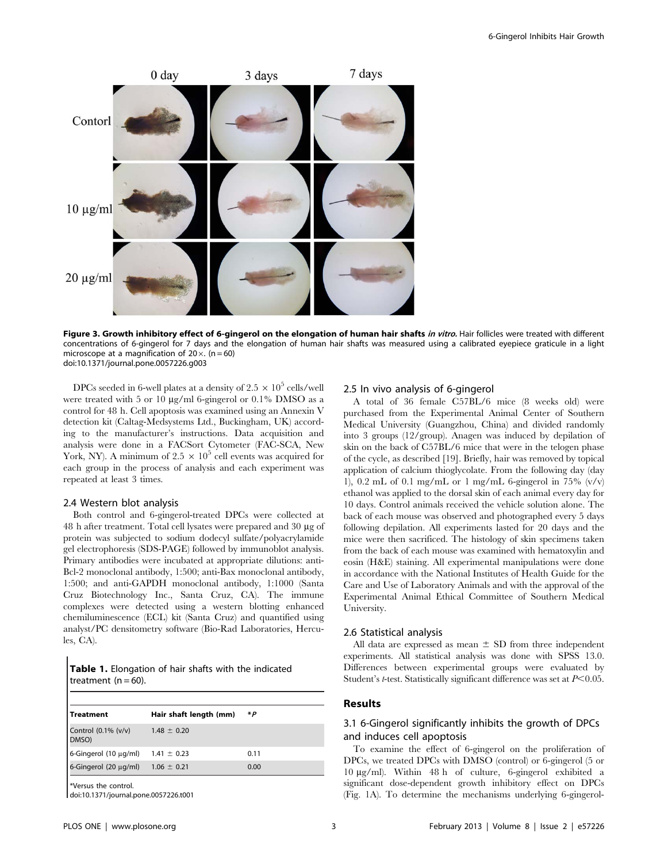

Figure 3. Growth inhibitory effect of 6-gingerol on the elongation of human hair shafts in vitro. Hair follicles were treated with different concentrations of 6-gingerol for 7 days and the elongation of human hair shafts was measured using a calibrated eyepiece graticule in a light microscope at a magnification of  $20 \times$ . (n = 60) doi:10.1371/journal.pone.0057226.g003

DPCs seeded in 6-well plates at a density of 2.5  $\times$  10<sup>5</sup> cells/well were treated with 5 or 10  $\mu$ g/ml 6-gingerol or 0.1% DMSO as a control for 48 h. Cell apoptosis was examined using an Annexin V detection kit (Caltag-Medsystems Ltd., Buckingham, UK) according to the manufacturer's instructions. Data acquisition and analysis were done in a FACSort Cytometer (FAC-SCA, New York, NY). A minimum of  $2.5 \times 10^5$  cell events was acquired for each group in the process of analysis and each experiment was repeated at least 3 times.

#### 2.4 Western blot analysis

Both control and 6-gingerol-treated DPCs were collected at 48 h after treatment. Total cell lysates were prepared and 30 mg of protein was subjected to sodium dodecyl sulfate/polyacrylamide gel electrophoresis (SDS-PAGE) followed by immunoblot analysis. Primary antibodies were incubated at appropriate dilutions: anti-Bcl-2 monoclonal antibody, 1:500; anti-Bax monoclonal antibody, 1:500; and anti-GAPDH monoclonal antibody, 1:1000 (Santa Cruz Biotechnology Inc., Santa Cruz, CA). The immune complexes were detected using a western blotting enhanced chemiluminescence (ECL) kit (Santa Cruz) and quantified using analyst/PC densitometry software (Bio-Rad Laboratories, Hercules, CA).

| <b>Table 1.</b> Elongation of hair shafts with the indicated |  |  |  |
|--------------------------------------------------------------|--|--|--|
| treatment $(n = 60)$ .                                       |  |  |  |

| <b>Treatment</b>              | Hair shaft length (mm) | *Р   |
|-------------------------------|------------------------|------|
| Control (0.1% (v/v)<br>DMSO)  | $1.48 \pm 0.20$        |      |
| 6-Gingerol (10 µg/ml)         | $1.41 \pm 0.23$        | 0.11 |
| $6$ -Gingerol (20 $\mu$ g/ml) | $1.06 \pm 0.21$        | 0.00 |
| Versus the control.           |                        |      |

doi:10.1371/journal.pone.0057226.t001

## 2.5 In vivo analysis of 6-gingerol

A total of 36 female C57BL/6 mice (8 weeks old) were purchased from the Experimental Animal Center of Southern Medical University (Guangzhou, China) and divided randomly into 3 groups (12/group). Anagen was induced by depilation of skin on the back of C57BL/6 mice that were in the telogen phase of the cycle, as described [19]. Briefly, hair was removed by topical application of calcium thioglycolate. From the following day (day 1), 0.2 mL of 0.1 mg/mL or 1 mg/mL 6-gingerol in 75%  $(v/v)$ ethanol was applied to the dorsal skin of each animal every day for 10 days. Control animals received the vehicle solution alone. The back of each mouse was observed and photographed every 5 days following depilation. All experiments lasted for 20 days and the mice were then sacrificed. The histology of skin specimens taken from the back of each mouse was examined with hematoxylin and eosin (H&E) staining. All experimental manipulations were done in accordance with the National Institutes of Health Guide for the Care and Use of Laboratory Animals and with the approval of the Experimental Animal Ethical Committee of Southern Medical University.

#### 2.6 Statistical analysis

All data are expressed as mean  $\pm$  SD from three independent experiments. All statistical analysis was done with SPSS 13.0. Differences between experimental groups were evaluated by Student's *t*-test. Statistically significant difference was set at  $P<0.05$ .

## Results

## 3.1 6-Gingerol significantly inhibits the growth of DPCs and induces cell apoptosis

To examine the effect of 6-gingerol on the proliferation of DPCs, we treated DPCs with DMSO (control) or 6-gingerol (5 or 10 mg/ml). Within 48 h of culture, 6-gingerol exhibited a significant dose-dependent growth inhibitory effect on DPCs (Fig. 1A). To determine the mechanisms underlying 6-gingerol-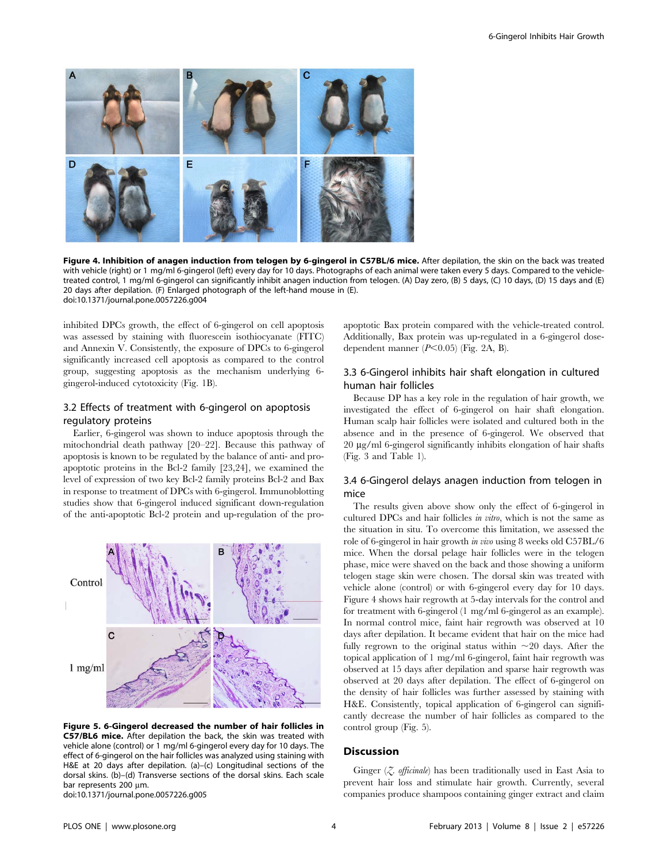

Figure 4. Inhibition of anagen induction from telogen by 6-gingerol in C57BL/6 mice. After depilation, the skin on the back was treated with vehicle (right) or 1 mg/ml 6-gingerol (left) every day for 10 days. Photographs of each animal were taken every 5 days. Compared to the vehicletreated control, 1 mg/ml 6-gingerol can significantly inhibit anagen induction from telogen. (A) Day zero, (B) 5 days, (C) 10 days, (D) 15 days and (E) 20 days after depilation. (F) Enlarged photograph of the left-hand mouse in (E). doi:10.1371/journal.pone.0057226.g004

inhibited DPCs growth, the effect of 6-gingerol on cell apoptosis was assessed by staining with fluorescein isothiocyanate (FITC) and Annexin V. Consistently, the exposure of DPCs to 6-gingerol significantly increased cell apoptosis as compared to the control group, suggesting apoptosis as the mechanism underlying 6 gingerol-induced cytotoxicity (Fig. 1B).

## 3.2 Effects of treatment with 6-gingerol on apoptosis regulatory proteins

Earlier, 6-gingerol was shown to induce apoptosis through the mitochondrial death pathway [20–22]. Because this pathway of apoptosis is known to be regulated by the balance of anti- and proapoptotic proteins in the Bcl-2 family [23,24], we examined the level of expression of two key Bcl-2 family proteins Bcl-2 and Bax in response to treatment of DPCs with 6-gingerol. Immunoblotting studies show that 6-gingerol induced significant down-regulation of the anti-apoptotic Bcl-2 protein and up-regulation of the pro-



Figure 5. 6-Gingerol decreased the number of hair follicles in C57/BL6 mice. After depilation the back, the skin was treated with vehicle alone (control) or 1 mg/ml 6-gingerol every day for 10 days. The effect of 6-gingerol on the hair follicles was analyzed using staining with H&E at 20 days after depilation. (a)–(c) Longitudinal sections of the dorsal skins. (b)–(d) Transverse sections of the dorsal skins. Each scale bar represents 200 µm. doi:10.1371/journal.pone.0057226.g005

apoptotic Bax protein compared with the vehicle-treated control. Additionally, Bax protein was up-regulated in a 6-gingerol dosedependent manner  $(P<0.05)$  (Fig. 2A, B).

## 3.3 6-Gingerol inhibits hair shaft elongation in cultured human hair follicles

Because DP has a key role in the regulation of hair growth, we investigated the effect of 6-gingerol on hair shaft elongation. Human scalp hair follicles were isolated and cultured both in the absence and in the presence of 6-gingerol. We observed that 20 mg/ml 6-gingerol significantly inhibits elongation of hair shafts (Fig. 3 and Table 1).

## 3.4 6-Gingerol delays anagen induction from telogen in mice

The results given above show only the effect of 6-gingerol in cultured DPCs and hair follicles in vitro, which is not the same as the situation in situ. To overcome this limitation, we assessed the role of 6-gingerol in hair growth in vivo using 8 weeks old C57BL/6 mice. When the dorsal pelage hair follicles were in the telogen phase, mice were shaved on the back and those showing a uniform telogen stage skin were chosen. The dorsal skin was treated with vehicle alone (control) or with 6-gingerol every day for 10 days. Figure 4 shows hair regrowth at 5-day intervals for the control and for treatment with 6-gingerol (1 mg/ml 6-gingerol as an example). In normal control mice, faint hair regrowth was observed at 10 days after depilation. It became evident that hair on the mice had fully regrown to the original status within  $\sim 20$  days. After the topical application of 1 mg/ml 6-gingerol, faint hair regrowth was observed at 15 days after depilation and sparse hair regrowth was observed at 20 days after depilation. The effect of 6-gingerol on the density of hair follicles was further assessed by staining with H&E. Consistently, topical application of 6-gingerol can significantly decrease the number of hair follicles as compared to the control group (Fig. 5).

## Discussion

Ginger  $(Z, \text{ official})$  has been traditionally used in East Asia to prevent hair loss and stimulate hair growth. Currently, several companies produce shampoos containing ginger extract and claim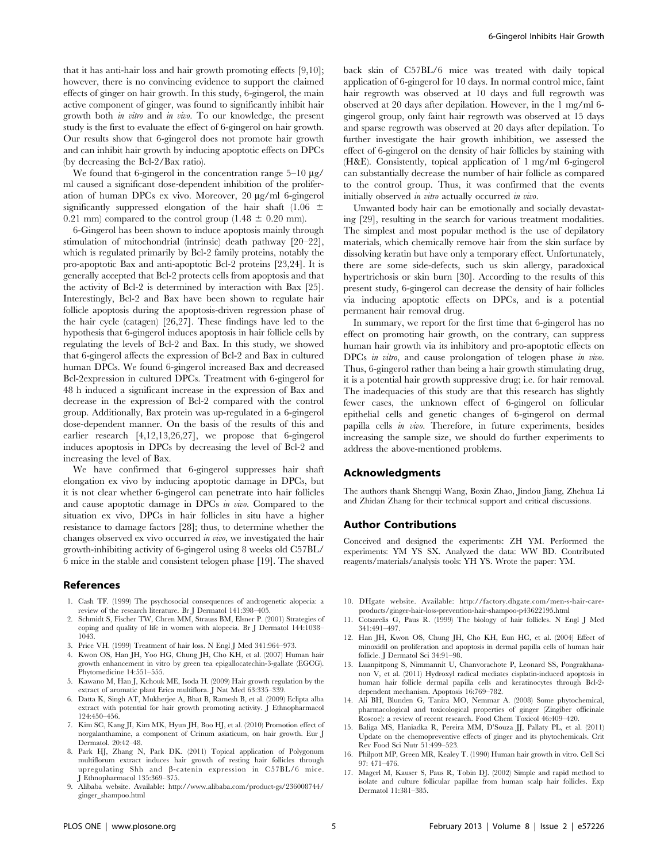that it has anti-hair loss and hair growth promoting effects [9,10]; however, there is no convincing evidence to support the claimed effects of ginger on hair growth. In this study, 6-gingerol, the main active component of ginger, was found to significantly inhibit hair growth both in vitro and in vivo. To our knowledge, the present study is the first to evaluate the effect of 6-gingerol on hair growth. Our results show that 6-gingerol does not promote hair growth and can inhibit hair growth by inducing apoptotic effects on DPCs (by decreasing the Bcl-2/Bax ratio).

We found that 6-gingerol in the concentration range  $5-10 \mu g$ / ml caused a significant dose-dependent inhibition of the proliferation of human DPCs ex vivo. Moreover, 20 µg/ml 6-gingerol significantly suppressed elongation of the hair shaft (1.06  $\pm$ 0.21 mm) compared to the control group (1.48  $\pm$  0.20 mm).

6-Gingerol has been shown to induce apoptosis mainly through stimulation of mitochondrial (intrinsic) death pathway [20–22], which is regulated primarily by Bcl-2 family proteins, notably the pro-apoptotic Bax and anti-apoptotic Bcl-2 proteins [23,24]. It is generally accepted that Bcl-2 protects cells from apoptosis and that the activity of Bcl-2 is determined by interaction with Bax [25]. Interestingly, Bcl-2 and Bax have been shown to regulate hair follicle apoptosis during the apoptosis-driven regression phase of the hair cycle (catagen) [26,27]. These findings have led to the hypothesis that 6-gingerol induces apoptosis in hair follicle cells by regulating the levels of Bcl-2 and Bax. In this study, we showed that 6-gingerol affects the expression of Bcl-2 and Bax in cultured human DPCs. We found 6-gingerol increased Bax and decreased Bcl-2expression in cultured DPCs. Treatment with 6-gingerol for 48 h induced a significant increase in the expression of Bax and decrease in the expression of Bcl-2 compared with the control group. Additionally, Bax protein was up-regulated in a 6-gingerol dose-dependent manner. On the basis of the results of this and earlier research [4,12,13,26,27], we propose that 6-gingerol induces apoptosis in DPCs by decreasing the level of Bcl-2 and increasing the level of Bax.

We have confirmed that 6-gingerol suppresses hair shaft elongation ex vivo by inducing apoptotic damage in DPCs, but it is not clear whether 6-gingerol can penetrate into hair follicles and cause apoptotic damage in DPCs in vivo. Compared to the situation ex vivo, DPCs in hair follicles in situ have a higher resistance to damage factors [28]; thus, to determine whether the changes observed ex vivo occurred in vivo, we investigated the hair growth-inhibiting activity of 6-gingerol using 8 weeks old C57BL/ 6 mice in the stable and consistent telogen phase [19]. The shaved

#### References

- 1. Cash TF. (1999) The psychosocial consequences of androgenetic alopecia: a review of the research literature. Br J Dermatol 141:398–405.
- 2. Schmidt S, Fischer TW, Chren MM, Strauss BM, Elsner P. (2001) Strategies of coping and quality of life in women with alopecia. Br J Dermatol 144:1038– 1043.
- 3. Price VH. (1999) Treatment of hair loss. N Engl J Med 341:964–973.
- 4. Kwon OS, Han JH, Yoo HG, Chung JH, Cho KH, et al. (2007) Human hair growth enhancement in vitro by green tea epigallocatechin-3-gallate (EGCG). Phytomedicine 14:551–555.
- 5. Kawano M, Han J, Kchouk ME, Isoda H. (2009) Hair growth regulation by the extract of aromatic plant Erica multiflora. J Nat Med 63:335–339.
- 6. Datta K, Singh AT, Mukherjee A, Bhat B, Ramesh B, et al. (2009) Eclipta alba extract with potential for hair growth promoting activity. J Ethnopharmacol 124:450–456.
- 7. Kim SC, Kang JI, Kim MK, Hyun JH, Boo HJ, et al. (2010) Promotion effect of norgalanthamine, a component of Crinum asiaticum, on hair growth. Eur J Dermatol. 20:42–48.
- 8. Park HJ, Zhang N, Park DK. (2011) Topical application of Polygonum multiflorum extract induces hair growth of resting hair follicles through upregulating Shh and b-catenin expression in C57BL/6 mice. J Ethnopharmacol 135:369–375.
- 9. Alibaba website. Available: http://www.alibaba.com/product-gs/236008744/ ginger\_shampoo.html

back skin of C57BL/6 mice was treated with daily topical application of 6-gingerol for 10 days. In normal control mice, faint hair regrowth was observed at 10 days and full regrowth was observed at 20 days after depilation. However, in the 1 mg/ml 6 gingerol group, only faint hair regrowth was observed at 15 days and sparse regrowth was observed at 20 days after depilation. To further investigate the hair growth inhibition, we assessed the effect of 6-gingerol on the density of hair follicles by staining with (H&E). Consistently, topical application of 1 mg/ml 6-gingerol can substantially decrease the number of hair follicle as compared to the control group. Thus, it was confirmed that the events initially observed in vitro actually occurred in vivo.

Unwanted body hair can be emotionally and socially devastating [29], resulting in the search for various treatment modalities. The simplest and most popular method is the use of depilatory materials, which chemically remove hair from the skin surface by dissolving keratin but have only a temporary effect. Unfortunately, there are some side-defects, such us skin allergy, paradoxical hypertrichosis or skin burn [30]. According to the results of this present study, 6-gingerol can decrease the density of hair follicles via inducing apoptotic effects on DPCs, and is a potential permanent hair removal drug.

In summary, we report for the first time that 6-gingerol has no effect on promoting hair growth, on the contrary, can suppress human hair growth via its inhibitory and pro-apoptotic effects on DPCs *in vitro*, and cause prolongation of telogen phase *in vivo*. Thus, 6-gingerol rather than being a hair growth stimulating drug, it is a potential hair growth suppressive drug; i.e. for hair removal. The inadequacies of this study are that this research has slightly fewer cases, the unknown effect of 6-gingerol on follicular epithelial cells and genetic changes of 6-gingerol on dermal papilla cells in vivo. Therefore, in future experiments, besides increasing the sample size, we should do further experiments to address the above-mentioned problems.

#### Acknowledgments

The authors thank Shengqi Wang, Boxin Zhao, Jindou Jiang, Zhehua Li and Zhidan Zhang for their technical support and critical discussions.

#### Author Contributions

Conceived and designed the experiments: ZH YM. Performed the experiments: YM YS SX. Analyzed the data: WW BD. Contributed reagents/materials/analysis tools: YH YS. Wrote the paper: YM.

- 10. DHgate website. Available: http://factory.dhgate.com/men-s-hair-careproducts/ginger-hair-loss-prevention-hair-shampoo-p43622195.html
- 11. Cotsarelis G, Paus R. (1999) The biology of hair follicles. N Engl J Med 341:491–497.
- 12. Han JH, Kwon OS, Chung JH, Cho KH, Eun HC, et al. (2004) Effect of minoxidil on proliferation and apoptosis in dermal papilla cells of human hair follicle. J Dermatol Sci 34:91–98.
- 13. Luanpitpong S, Nimmannit U, Chanvorachote P, Leonard SS, Pongrakhananon V, et al. (2011) Hydroxyl radical mediates cisplatin-induced apoptosis in human hair follicle dermal papilla cells and keratinocytes through Bcl-2 dependent mechanism. Apoptosis 16:769–782.
- 14. Ali BH, Blunden G, Tanira MO, Nemmar A. (2008) Some phytochemical, pharmacological and toxicological properties of ginger (Zingiber officinale Roscoe): a review of recent research. Food Chem Toxicol 46:409–420.
- 15. Baliga MS, Haniadka R, Pereira MM, D'Souza JJ, Pallaty PL, et al. (2011) Update on the chemopreventive effects of ginger and its phytochemicals. Crit Rev Food Sci Nutr 51:499–523.
- 16. Philpott MP, Green MR, Kealey T. (1990) Human hair growth in vitro. Cell Sci 97: 471–476.
- 17. Magerl M, Kauser S, Paus R, Tobin DJ. (2002) Simple and rapid method to isolate and culture follicular papillae from human scalp hair follicles. Exp Dermatol 11:381–385.